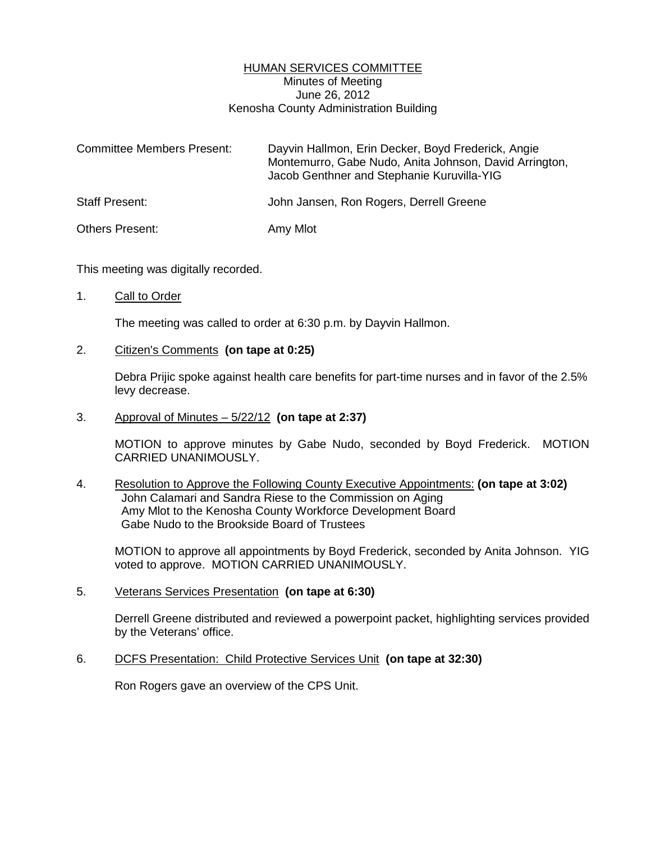## HUMAN SERVICES COMMITTEE Minutes of Meeting June 26, 2012 Kenosha County Administration Building

| <b>Committee Members Present:</b> | Dayvin Hallmon, Erin Decker, Boyd Frederick, Angie<br>Montemurro, Gabe Nudo, Anita Johnson, David Arrington,<br>Jacob Genthner and Stephanie Kuruvilla-YIG |
|-----------------------------------|------------------------------------------------------------------------------------------------------------------------------------------------------------|
| <b>Staff Present:</b>             | John Jansen, Ron Rogers, Derrell Greene                                                                                                                    |
| Others Present:                   | Amy Mlot                                                                                                                                                   |

This meeting was digitally recorded.

#### 1. Call to Order

The meeting was called to order at 6:30 p.m. by Dayvin Hallmon.

## 2. Citizen's Comments **(on tape at 0:25)**

 Debra Prijic spoke against health care benefits for part-time nurses and in favor of the 2.5% levy decrease.

#### 3. Approval of Minutes – 5/22/12 **(on tape at 2:37)**

 MOTION to approve minutes by Gabe Nudo, seconded by Boyd Frederick. MOTION CARRIED UNANIMOUSLY.

4. Resolution to Approve the Following County Executive Appointments: **(on tape at 3:02)**  John Calamari and Sandra Riese to the Commission on Aging Amy Mlot to the Kenosha County Workforce Development Board Gabe Nudo to the Brookside Board of Trustees

 MOTION to approve all appointments by Boyd Frederick, seconded by Anita Johnson. YIG voted to approve. MOTION CARRIED UNANIMOUSLY.

#### 5. Veterans Services Presentation **(on tape at 6:30)**

 Derrell Greene distributed and reviewed a powerpoint packet, highlighting services provided by the Veterans' office.

6. DCFS Presentation: Child Protective Services Unit **(on tape at 32:30)**

Ron Rogers gave an overview of the CPS Unit.